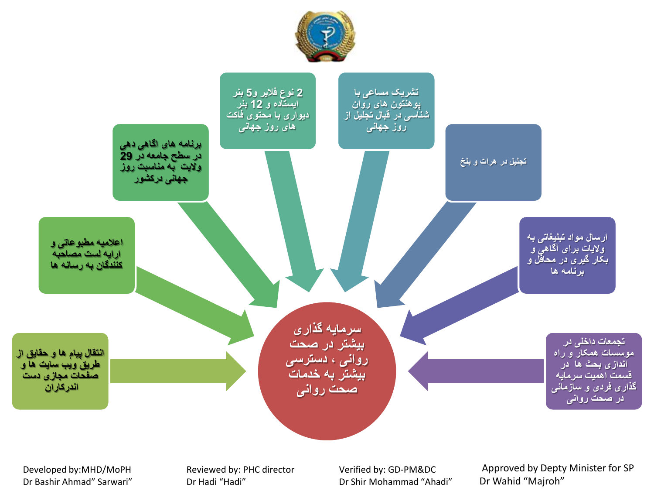



Developed by:MHD/MoPH Dr Bashir Ahmad" Sarwari" Reviewed by: PHC director Dr Hadi "Hadi"

Verified by: GD-PM&DC Dr Shir Mohammad "Ahadi"

Approved by Depty Minister for SP Dr Wahid "Majroh"